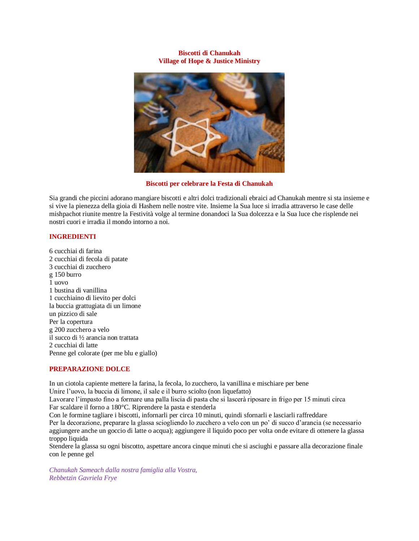## **Biscotti di Chanukah Village of Hope & Justice Ministry**



## **Biscotti per celebrare la Festa di Chanukah**

Sia grandi che piccini adorano mangiare biscotti e altri dolci tradizionali ebraici ad Chanukah mentre si sta insieme e si vive la pienezza della gioia di Hashem nelle nostre vite. Insieme la Sua luce si irradia attraverso le case delle mishpachot riunite mentre la Festività volge al termine donandoci la Sua dolcezza e la Sua luce che risplende nei nostri cuori e irradia il mondo intorno a noi.

# **INGREDIENTI**

6 cucchiai di farina 2 cucchiai di fecola di patate 3 cucchiai di zucchero g 150 burro 1 uovo 1 bustina di vanillina 1 cucchiaino di lievito per dolci la buccia grattugiata di un limone un pizzico di sale Per la copertura g 200 zucchero a velo il succo di ½ arancia non trattata 2 cucchiai di latte Penne gel colorate (per me blu e giallo)

## **PREPARAZIONE DOLCE**

In un ciotola capiente mettere la farina, la fecola, lo zucchero, la vanillina e mischiare per bene Unire l'uovo, la buccia di limone, il sale e il burro sciolto (non liquefatto)

Lavorare l'impasto fino a formare una palla liscia di pasta che si lascerà riposare in frigo per 15 minuti circa Far scaldare il forno a 180°C. Riprendere la pasta e stenderla

Con le formine tagliare i biscotti, infornarli per circa 10 minuti, quindi sfornarli e lasciarli raffreddare Per la decorazione, preparare la glassa sciogliendo lo zucchero a velo con un po' di succo d'arancia (se necessario aggiungere anche un goccio di latte o acqua); aggiungere il liquido poco per volta onde evitare di ottenere la glassa troppo liquida

Stendere la glassa su ogni biscotto, aspettare ancora cinque minuti che si asciughi e passare alla decorazione finale con le penne gel

*Chanukah Sameach dalla nostra famiglia alla Vostra, Rebbetzin Gavriela Frye*